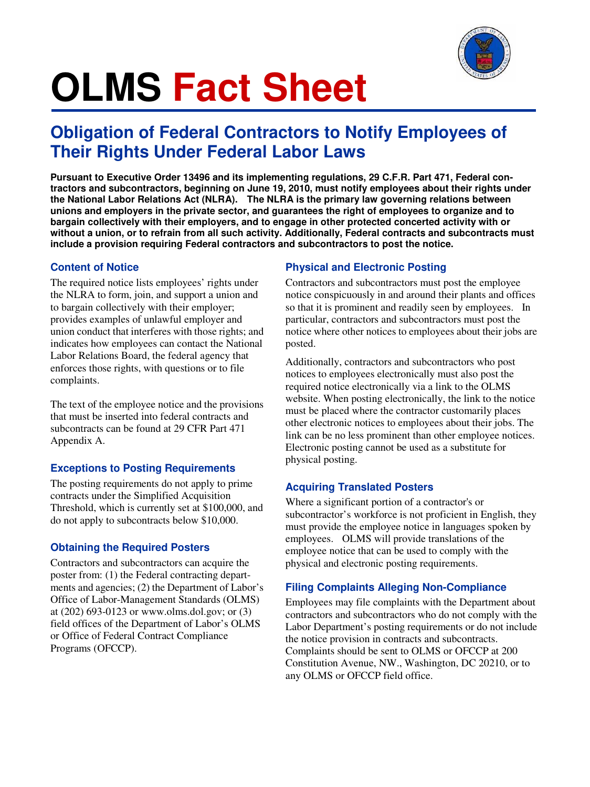

# **OLMS Fact Sheet**

## **Obligation of Federal Contractors to Notify Employees of Their Rights Under Federal Labor Laws**

**Pursuant to Executive Order 13496 and its implementing regulations, 29 C.F.R. Part 471, Federal contractors and subcontractors, beginning on June 19, 2010, must notify employees about their rights under the National Labor Relations Act (NLRA). The NLRA is the primary law governing relations between unions and employers in the private sector, and guarantees the right of employees to organize and to bargain collectively with their employers, and to engage in other protected concerted activity with or without a union, or to refrain from all such activity. Additionally, Federal contracts and subcontracts must include a provision requiring Federal contractors and subcontractors to post the notice.** 

#### **Content of Notice**

The required notice lists employees' rights under the NLRA to form, join, and support a union and to bargain collectively with their employer; provides examples of unlawful employer and union conduct that interferes with those rights; and indicates how employees can contact the National Labor Relations Board, the federal agency that enforces those rights, with questions or to file complaints.

The text of the employee notice and the provisions that must be inserted into federal contracts and subcontracts can be found at 29 CFR Part 471 Appendix A.

#### **Exceptions to Posting Requirements**

The posting requirements do not apply to prime contracts under the Simplified Acquisition Threshold, which is currently set at \$100,000, and do not apply to subcontracts below \$10,000.

#### **Obtaining the Required Posters**

Contractors and subcontractors can acquire the poster from: (1) the Federal contracting departments and agencies; (2) the Department of Labor's Office of Labor-Management Standards (OLMS) at (202) 693-0123 or www.olms.dol.gov; or (3) field offices of the Department of Labor's OLMS or Office of Federal Contract Compliance Programs (OFCCP).

#### **Physical and Electronic Posting**

Contractors and subcontractors must post the employee notice conspicuously in and around their plants and offices so that it is prominent and readily seen by employees. In particular, contractors and subcontractors must post the notice where other notices to employees about their jobs are posted.

Additionally, contractors and subcontractors who post notices to employees electronically must also post the required notice electronically via a link to the OLMS website. When posting electronically, the link to the notice must be placed where the contractor customarily places other electronic notices to employees about their jobs. The link can be no less prominent than other employee notices. Electronic posting cannot be used as a substitute for physical posting.

#### **Acquiring Translated Posters**

Where a significant portion of a contractor's or subcontractor's workforce is not proficient in English, they must provide the employee notice in languages spoken by employees. OLMS will provide translations of the employee notice that can be used to comply with the physical and electronic posting requirements.

#### **Filing Complaints Alleging Non-Compliance**

Employees may file complaints with the Department about contractors and subcontractors who do not comply with the Labor Department's posting requirements or do not include the notice provision in contracts and subcontracts. Complaints should be sent to OLMS or OFCCP at 200 Constitution Avenue, NW., Washington, DC 20210, or to any OLMS or OFCCP field office.